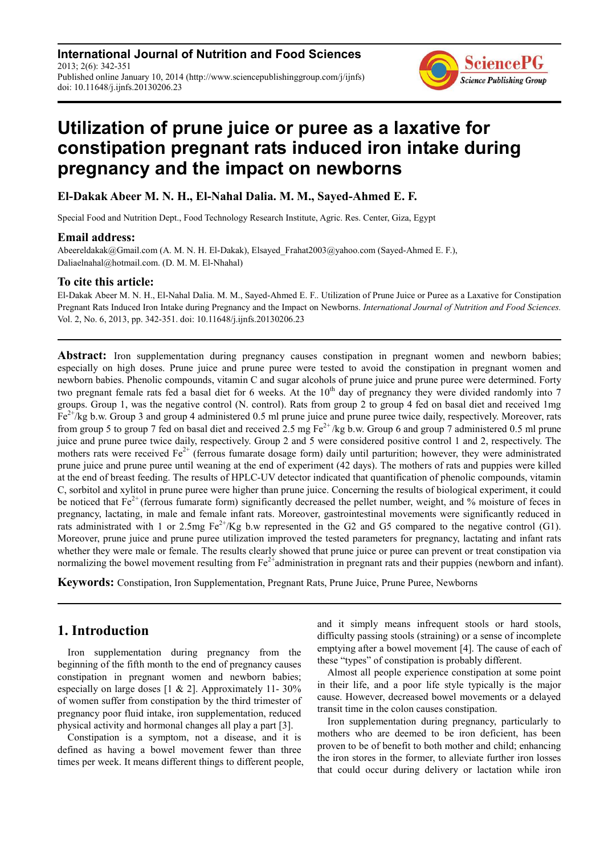**International Journal of Nutrition and Food Sciences** 2013; 2(6): 342-351 Published online January 10, 2014 (http://www.sciencepublishinggroup.com/j/ijnfs) doi: 10.11648/j.ijnfs.20130206.23



# **Utilization of prune juice or puree as a laxative for constipation pregnant rats induced iron intake during pregnancy and the impact on newborns**

**El-Dakak Abeer M. N. H., El-Nahal Dalia. M. M., Sayed-Ahmed E. F.**

Special Food and Nutrition Dept., Food Technology Research Institute, Agric. Res. Center, Giza, Egypt

## **Email address:**

Abeereldakak@Gmail.com (A. M. N. H. El-Dakak), Elsayed Frahat2003@yahoo.com (Sayed-Ahmed E. F.), Daliaelnahal@hotmail.com. (D. M. M. El-Nhahal)

## **To cite this article:**

El-Dakak Abeer M. N. H., El-Nahal Dalia. M. M., Sayed-Ahmed E. F.. Utilization of Prune Juice or Puree as a Laxative for Constipation Pregnant Rats Induced Iron Intake during Pregnancy and the Impact on Newborns. *International Journal of Nutrition and Food Sciences.*  Vol. 2, No. 6, 2013, pp. 342-351. doi: 10.11648/j.ijnfs.20130206.23

**Abstract:** Iron supplementation during pregnancy causes constipation in pregnant women and newborn babies; especially on high doses. Prune juice and prune puree were tested to avoid the constipation in pregnant women and newborn babies. Phenolic compounds, vitamin C and sugar alcohols of prune juice and prune puree were determined. Forty two pregnant female rats fed a basal diet for 6 weeks. At the  $10<sup>th</sup>$  day of pregnancy they were divided randomly into 7 groups. Group 1, was the negative control (N. control). Rats from group 2 to group 4 fed on basal diet and received 1mg  $Fe^{2+}/kg$  b.w. Group 3 and group 4 administered 0.5 ml prune juice and prune puree twice daily, respectively. Moreover, rats from group 5 to group 7 fed on basal diet and received 2.5 mg  $Fe^{2+}/kg$  b.w. Group 6 and group 7 administered 0.5 ml prune juice and prune puree twice daily, respectively. Group 2 and 5 were considered positive control 1 and 2, respectively. The mothers rats were received  $Fe<sup>2+</sup>$  (ferrous fumarate dosage form) daily until parturition; however, they were administrated prune juice and prune puree until weaning at the end of experiment (42 days). The mothers of rats and puppies were killed at the end of breast feeding. The results of HPLC-UV detector indicated that quantification of phenolic compounds, vitamin C, sorbitol and xylitol in prune puree were higher than prune juice. Concerning the results of biological experiment, it could be noticed that  $Fe<sup>2+</sup>$  (ferrous fumarate form) significantly decreased the pellet number, weight, and  $%$  moisture of feces in pregnancy, lactating, in male and female infant rats. Moreover, gastrointestinal movements were significantly reduced in rats administrated with 1 or 2.5mg  $Fe^{2+}/Kg$  b.w represented in the G2 and G5 compared to the negative control (G1). Moreover, prune juice and prune puree utilization improved the tested parameters for pregnancy, lactating and infant rats whether they were male or female. The results clearly showed that prune juice or puree can prevent or treat constipation via normalizing the bowel movement resulting from  $Fe^{2+}$ administration in pregnant rats and their puppies (newborn and infant).

**Keywords:** Constipation, Iron Supplementation, Pregnant Rats, Prune Juice, Prune Puree, Newborns

# **1. Introduction**

Iron supplementation during pregnancy from the beginning of the fifth month to the end of pregnancy causes constipation in pregnant women and newborn babies; especially on large doses  $[1 \& 2]$ . Approximately 11-30% of women suffer from constipation by the third trimester of pregnancy poor fluid intake, iron supplementation, reduced physical activity and hormonal changes all play a part [3].

Constipation is a symptom, not a disease, and it is defined as having a bowel movement fewer than three times per week. It means different things to different people, and it simply means infrequent stools or hard stools, difficulty passing stools (straining) or a sense of incomplete emptying after a bowel movement [4]. The cause of each of these "types" of constipation is probably different.

Almost all people experience constipation at some point in their life, and a poor life style typically is the major cause. However, decreased bowel movements or a delayed transit time in the colon causes constipation.

Iron supplementation during pregnancy, particularly to mothers who are deemed to be iron deficient, has been proven to be of benefit to both mother and child; enhancing the iron stores in the former, to alleviate further iron losses that could occur during delivery or lactation while iron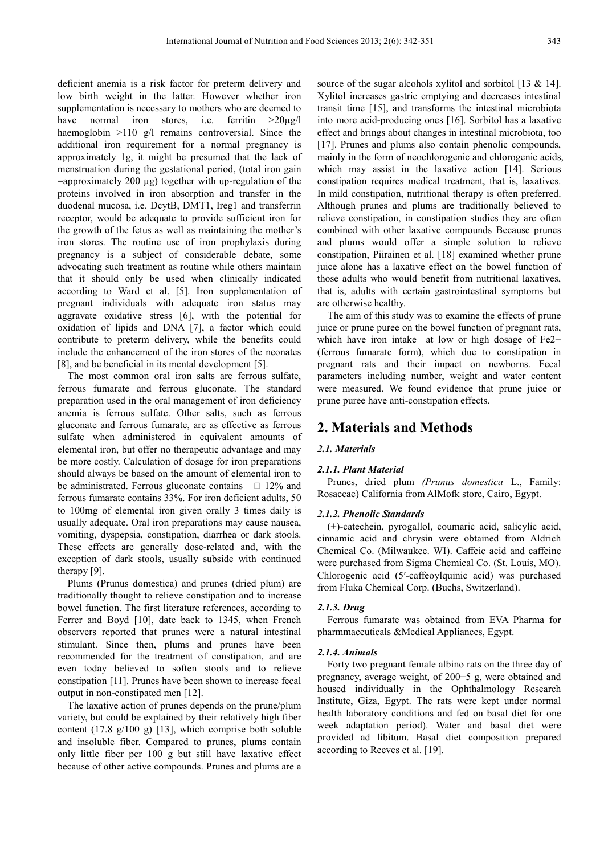deficient anemia is a risk factor for preterm delivery and low birth weight in the latter. However whether iron supplementation is necessary to mothers who are deemed to have normal iron stores, i.e. ferritin >20ug/l haemoglobin >110 g/l remains controversial. Since the additional iron requirement for a normal pregnancy is approximately 1g, it might be presumed that the lack of menstruation during the gestational period, (total iron gain  $=$ approximately 200  $\mu$ g) together with up-regulation of the proteins involved in iron absorption and transfer in the duodenal mucosa, i.e. DcytB, DMT1, Ireg1 and transferrin receptor, would be adequate to provide sufficient iron for the growth of the fetus as well as maintaining the mother's iron stores. The routine use of iron prophylaxis during pregnancy is a subject of considerable debate, some advocating such treatment as routine while others maintain that it should only be used when clinically indicated according to Ward et al. [5]. Iron supplementation of pregnant individuals with adequate iron status may aggravate oxidative stress [6], with the potential for oxidation of lipids and DNA [7], a factor which could contribute to preterm delivery, while the benefits could include the enhancement of the iron stores of the neonates [8], and be beneficial in its mental development [5].

The most common oral iron salts are ferrous sulfate, ferrous fumarate and ferrous gluconate. The standard preparation used in the oral management of iron deficiency anemia is ferrous sulfate. Other salts, such as ferrous gluconate and ferrous fumarate, are as effective as ferrous sulfate when administered in equivalent amounts of elemental iron, but offer no therapeutic advantage and may be more costly. Calculation of dosage for iron preparations should always be based on the amount of elemental iron to be administrated. Ferrous gluconate contains  $\Box$  12% and ferrous fumarate contains 33%. For iron deficient adults, 50 to 100mg of elemental iron given orally 3 times daily is usually adequate. Oral iron preparations may cause nausea, vomiting, dyspepsia, constipation, diarrhea or dark stools. These effects are generally dose-related and, with the exception of dark stools, usually subside with continued therapy [9].

Plums (Prunus domestica) and prunes (dried plum) are traditionally thought to relieve constipation and to increase bowel function. The first literature references, according to Ferrer and Boyd [10], date back to 1345, when French observers reported that prunes were a natural intestinal stimulant. Since then, plums and prunes have been recommended for the treatment of constipation, and are even today believed to soften stools and to relieve constipation [11]. Prunes have been shown to increase fecal output in non-constipated men [12].

The laxative action of prunes depends on the prune/plum variety, but could be explained by their relatively high fiber content (17.8 g/100 g) [13], which comprise both soluble and insoluble fiber. Compared to prunes, plums contain only little fiber per 100 g but still have laxative effect because of other active compounds. Prunes and plums are a

source of the sugar alcohols xylitol and sorbitol [13 & 14]. Xylitol increases gastric emptying and decreases intestinal transit time [15], and transforms the intestinal microbiota into more acid-producing ones [16]. Sorbitol has a laxative effect and brings about changes in intestinal microbiota, too [17]. Prunes and plums also contain phenolic compounds, mainly in the form of neochlorogenic and chlorogenic acids, which may assist in the laxative action [14]. Serious constipation requires medical treatment, that is, laxatives. In mild constipation, nutritional therapy is often preferred. Although prunes and plums are traditionally believed to relieve constipation, in constipation studies they are often combined with other laxative compounds Because prunes and plums would offer a simple solution to relieve constipation, Piirainen et al. [18] examined whether prune juice alone has a laxative effect on the bowel function of those adults who would benefit from nutritional laxatives, that is, adults with certain gastrointestinal symptoms but are otherwise healthy.

The aim of this study was to examine the effects of prune juice or prune puree on the bowel function of pregnant rats, which have iron intake at low or high dosage of Fe2+ (ferrous fumarate form), which due to constipation in pregnant rats and their impact on newborns. Fecal parameters including number, weight and water content were measured. We found evidence that prune juice or prune puree have anti-constipation effects.

# **2. Materials and Methods**

## *2.1. Materials*

#### *2.1.1. Plant Material*

Prunes, dried plum *(Prunus domestica* L., Family: Rosaceae) California from AlMofk store, Cairo, Egypt.

#### *2.1.2. Phenolic Standards*

(+)-catechein, pyrogallol, coumaric acid, salicylic acid, cinnamic acid and chrysin were obtained from Aldrich Chemical Co. (Milwaukee. WI). Caffeic acid and caffeine were purchased from Sigma Chemical Co. (St. Louis, MO). Chlorogenic acid (5′-caffeoylquinic acid) was purchased from Fluka Chemical Corp. (Buchs, Switzerland).

## *2.1.3. Drug*

Ferrous fumarate was obtained from EVA Pharma for pharmmaceuticals &Medical Appliances, Egypt.

### *2.1.4. Animals*

Forty two pregnant female albino rats on the three day of pregnancy, average weight, of 200±5 g, were obtained and housed individually in the Ophthalmology Research Institute, Giza, Egypt. The rats were kept under normal health laboratory conditions and fed on basal diet for one week adaptation period). Water and basal diet were provided ad libitum. Basal diet composition prepared according to Reeves et al. [19].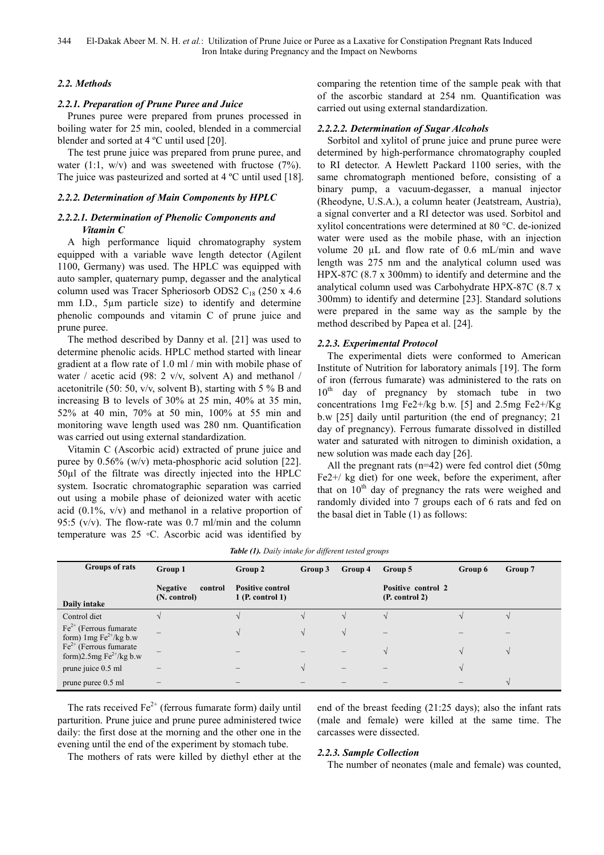## *2.2. Methods*

## *2.2.1. Preparation of Prune Puree and Juice*

Prunes puree were prepared from prunes processed in boiling water for 25 min, cooled, blended in a commercial blender and sorted at 4 ºC until used [20].

The test prune juice was prepared from prune puree, and water  $(1:1, w/v)$  and was sweetened with fructose  $(7%)$ . The juice was pasteurized and sorted at 4 °C until used [18].

## *2.2.2. Determination of Main Components by HPLC*

## *2.2.2.1. Determination of Phenolic Components and Vitamin C*

A high performance liquid chromatography system equipped with a variable wave length detector (Agilent 1100, Germany) was used. The HPLC was equipped with auto sampler, quaternary pump, degasser and the analytical column used was Tracer Spheriosorb ODS2  $C_{18}$  (250 x 4.6) mm I.D., 5µm particle size) to identify and determine phenolic compounds and vitamin C of prune juice and prune puree.

The method described by Danny et al. [21] was used to determine phenolic acids. HPLC method started with linear gradient at a flow rate of 1.0 ml / min with mobile phase of water / acetic acid (98: 2 v/v, solvent A) and methanol / acetonitrile (50: 50, v/v, solvent B), starting with 5 % B and increasing B to levels of 30% at 25 min, 40% at 35 min, 52% at 40 min, 70% at 50 min, 100% at 55 min and monitoring wave length used was 280 nm. Quantification was carried out using external standardization.

Vitamin C (Ascorbic acid) extracted of prune juice and puree by 0.56% (w/v) meta-phosphoric acid solution [22]. 50µl of the filtrate was directly injected into the HPLC system. Isocratic chromatographic separation was carried out using a mobile phase of deionized water with acetic acid  $(0.1\%$ ,  $v/v)$  and methanol in a relative proportion of 95:5 ( $v/v$ ). The flow-rate was 0.7 ml/min and the column temperature was 25 ◦C. Ascorbic acid was identified by comparing the retention time of the sample peak with that of the ascorbic standard at 254 nm. Quantification was carried out using external standardization.

## *2.2.2.2. Determination of Sugar Alcohols*

Sorbitol and xylitol of prune juice and prune puree were determined by high-performance chromatography coupled to RI detector. A Hewlett Packard 1100 series, with the same chromatograph mentioned before, consisting of a binary pump, a vacuum-degasser, a manual injector (Rheodyne, U.S.A.), a column heater (Jeatstream, Austria), a signal converter and a RI detector was used. Sorbitol and xylitol concentrations were determined at 80 °C. de-ionized water were used as the mobile phase, with an injection volume 20 µL and flow rate of 0.6 mL/min and wave length was 275 nm and the analytical column used was HPX-87C (8.7 x 300mm) to identify and determine and the analytical column used was Carbohydrate HPX-87C (8.7 x 300mm) to identify and determine [23]. Standard solutions were prepared in the same way as the sample by the method described by Papea et al. [24].

## *2.2.3. Experimental Protocol*

The experimental diets were conformed to American Institute of Nutrition for laboratory animals [19]. The form of iron (ferrous fumarate) was administered to the rats on 10<sup>th</sup> day of pregnancy by stomach tube in two concentrations 1mg Fe2+/kg b.w. [5] and 2.5mg Fe2+/Kg b.w [25] daily until parturition (the end of pregnancy; 21 day of pregnancy). Ferrous fumarate dissolved in distilled water and saturated with nitrogen to diminish oxidation, a new solution was made each day [26].

All the pregnant rats (n=42) were fed control diet (50mg Fe2+/ kg diet) for one week, before the experiment, after that on  $10<sup>th</sup>$  day of pregnancy the rats were weighed and randomly divided into 7 groups each of 6 rats and fed on the basal diet in Table (1) as follows:

| <b>Rable (1).</b> Daily intake for all ferent tested groups                               |                                            |                                               |           |              |                                      |         |         |
|-------------------------------------------------------------------------------------------|--------------------------------------------|-----------------------------------------------|-----------|--------------|--------------------------------------|---------|---------|
| Groups of rats                                                                            | Group 1                                    | Group 2                                       | Group 3   | Group 4      | Group 5                              | Group 6 | Group 7 |
| Daily intake                                                                              | <b>Negative</b><br>control<br>(N. control) | <b>Positive control</b><br>$1$ (P. control 1) |           |              | Positive control 2<br>(P. control 2) |         |         |
| Control diet                                                                              |                                            |                                               |           |              |                                      |         |         |
| $Fe2+$ (Ferrous fumarate<br>form) $\text{Im} g \, \text{Fe}^{2+}/\text{kg} \, \text{b.w}$ | -                                          |                                               |           | $\mathbf{v}$ |                                      |         |         |
| $Fe2+$ (Ferrous fumarate<br>form) $2.5$ mg Fe <sup>2+</sup> /kg b.w                       |                                            |                                               |           |              |                                      |         |         |
| prune juice 0.5 ml                                                                        |                                            |                                               | $\lambda$ | -            |                                      |         |         |
| prune puree 0.5 ml                                                                        |                                            |                                               |           |              |                                      |         |         |

*Table (1). Daily intake for different tested groups* 

The rats received  $Fe<sup>2+</sup>$  (ferrous fumarate form) daily until parturition. Prune juice and prune puree administered twice daily: the first dose at the morning and the other one in the evening until the end of the experiment by stomach tube.

end of the breast feeding (21:25 days); also the infant rats (male and female) were killed at the same time. The carcasses were dissected.

## The mothers of rats were killed by diethyl ether at the

## *2.2.3. Sample Collection*

The number of neonates (male and female) was counted,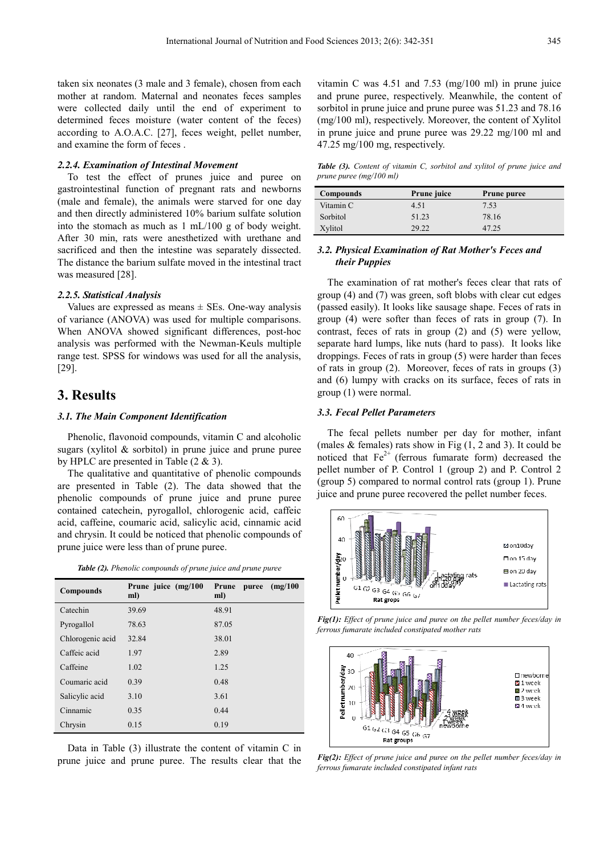taken six neonates (3 male and 3 female), chosen from each mother at random. Maternal and neonates feces samples were collected daily until the end of experiment to determined feces moisture (water content of the feces) according to A.O.A.C. [27], feces weight, pellet number, and examine the form of feces .

#### *2.2.4. Examination of Intestinal Movement*

To test the effect of prunes juice and puree on gastrointestinal function of pregnant rats and newborns (male and female), the animals were starved for one day and then directly administered 10% barium sulfate solution into the stomach as much as 1 mL/100 g of body weight. After 30 min, rats were anesthetized with urethane and sacrificed and then the intestine was separately dissected. The distance the barium sulfate moved in the intestinal tract was measured [28].

#### *2.2.5. Statistical Analysis*

Values are expressed as means  $\pm$  SEs. One-way analysis of variance (ANOVA) was used for multiple comparisons. When ANOVA showed significant differences, post-hoc analysis was performed with the Newman-Keuls multiple range test. SPSS for windows was used for all the analysis, [29].

# **3. Results**

#### *3.1. The Main Component Identification*

Phenolic, flavonoid compounds, vitamin C and alcoholic sugars (xylitol & sorbitol) in prune juice and prune puree by HPLC are presented in Table (2 & 3).

The qualitative and quantitative of phenolic compounds are presented in Table (2). The data showed that the phenolic compounds of prune juice and prune puree contained catechein, pyrogallol, chlorogenic acid, caffeic acid, caffeine, coumaric acid, salicylic acid, cinnamic acid and chrysin. It could be noticed that phenolic compounds of prune juice were less than of prune puree.

| <b>Table (2).</b> Phenolic compounds of prune juice and prune puree |  |  |  |  |
|---------------------------------------------------------------------|--|--|--|--|
|---------------------------------------------------------------------|--|--|--|--|

| Compounds        | Prune juice (mg/100<br>ml) | (mg/100)<br>Prune<br>puree<br>ml) |
|------------------|----------------------------|-----------------------------------|
| Catechin         | 39.69                      | 48.91                             |
| Pyrogallol       | 78.63                      | 87.05                             |
| Chlorogenic acid | 32.84                      | 38.01                             |
| Caffeic acid     | 1.97                       | 2.89                              |
| Caffeine         | 1.02                       | 1.25                              |
| Coumaric acid    | 0.39                       | 0.48                              |
| Salicylic acid   | 3.10                       | 3.61                              |
| Cinnamic         | 0.35                       | 0.44                              |
| Chrysin          | 0.15                       | 0.19                              |

Data in Table (3) illustrate the content of vitamin C in prune juice and prune puree. The results clear that the

vitamin C was 4.51 and 7.53 (mg/100 ml) in prune juice and prune puree, respectively. Meanwhile, the content of sorbitol in prune juice and prune puree was 51.23 and 78.16 (mg/100 ml), respectively. Moreover, the content of Xylitol in prune juice and prune puree was 29.22 mg/100 ml and 47.25 mg/100 mg, respectively.

*Table (3). Content of vitamin C, sorbitol and xylitol of prune juice and prune puree (mg/100 ml)* 

| <b>Compounds</b> | Prune juice | <b>Prune puree</b> |
|------------------|-------------|--------------------|
| Vitamin C        | 4.51        | 7.53               |
| Sorbitol         | 51.23       | 78.16              |
| Xylitol          | 29.22       | 47.25              |

## *3.2. Physical Examination of Rat Mother's Feces and their Puppies*

The examination of rat mother's feces clear that rats of group (4) and (7) was green, soft blobs with clear cut edges (passed easily). It looks like sausage shape. Feces of rats in group (4) were softer than feces of rats in group (7). In contrast, feces of rats in group (2) and (5) were yellow, separate hard lumps, like nuts (hard to pass). It looks like droppings. Feces of rats in group (5) were harder than feces of rats in group (2). Moreover, feces of rats in groups (3) and (6) lumpy with cracks on its surface, feces of rats in group (1) were normal.

#### *3.3. Fecal Pellet Parameters*

The fecal pellets number per day for mother, infant (males  $&$  females) rats show in Fig  $(1, 2 \text{ and } 3)$ . It could be noticed that  $Fe^{2+}$  (ferrous fumarate form) decreased the pellet number of P. Control 1 (group 2) and P. Control 2 (group 5) compared to normal control rats (group 1). Prune juice and prune puree recovered the pellet number feces.



*Fig(1): Effect of prune juice and puree on the pellet number feces/day in ferrous fumarate included constipated mother rats*



*Fig(2): Effect of prune juice and puree on the pellet number feces/day in ferrous fumarate included constipated infant rats*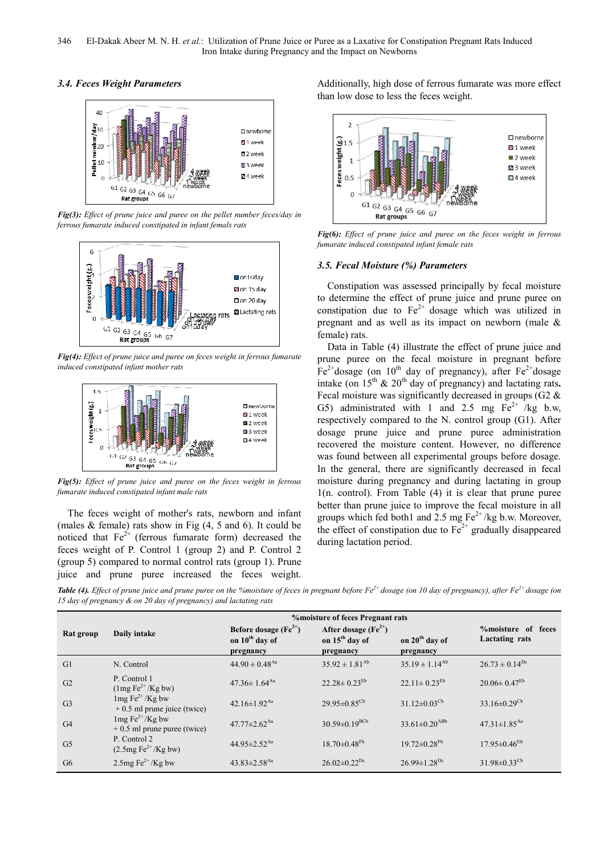## *3.4. Feces Weight Parameters*



*Fig(3): Effect of prune juice and puree on the pellet number feces/day in ferrous fumarate induced constipated in infant femals rats*



*Fig(4): Effect of prune juice and puree on feces weight in ferrous fumarate induced constipated infant mother rats*



*Fig(5): Effect of prune juice and puree on the feces weight in ferrous fumarate induced constipated infant male rats*

The feces weight of mother's rats, newborn and infant (males  $&$  female) rats show in Fig  $(4, 5 \text{ and } 6)$ . It could be noticed that  $Fe^{2+}$  (ferrous fumarate form) decreased the feces weight of P. Control 1 (group 2) and P. Control 2 (group 5) compared to normal control rats (group 1). Prune juice and prune puree increased the feces weight.

Additionally, high dose of ferrous fumarate was more effect than low dose to less the feces weight.



*Fig(6): Effect of prune juice and puree on the feces weight in ferrous fumarate induced constipated infant female rats*

## *3.5. Fecal Moisture (%) Parameters*

Constipation was assessed principally by fecal moisture to determine the effect of prune juice and prune puree on constipation due to  $Fe^{2+}$  dosage which was utilized in pregnant and as well as its impact on newborn (male & female) rats.

Data in Table (4) illustrate the effect of prune juice and prune puree on the fecal moisture in pregnant before  $Fe<sup>2+</sup>$ dosage (on 10<sup>th</sup> day of pregnancy), after  $Fe<sup>2+</sup>$ dosage intake (on  $15<sup>th</sup>$  &  $20<sup>th</sup>$  day of pregnancy) and lactating rats. Fecal moisture was significantly decreased in groups (G2 & G5) administrated with 1 and 2.5 mg  $Fe^{2+}$  /kg b.w, respectively compared to the N. control group (G1). After dosage prune juice and prune puree administration recovered the moisture content. However, no difference was found between all experimental groups before dosage. In the general, there are significantly decreased in fecal moisture during pregnancy and during lactating in group 1(n. control). From Table (4) it is clear that prune puree better than prune juice to improve the fecal moisture in all groups which fed both1 and 2.5 mg  $Fe^{2+}/kg$  b.w. Moreover, the effect of constipation due to  $Fe<sup>2+</sup>$  gradually disappeared during lactation period.

*Table (4). Effect of prune juice and prune puree on the %moisture of feces in pregnant before Fe2+ dosage (on 10 day of pregnancy), after Fe2+ dosage (on 15 day of pregnancy & on 20 day of pregnancy) and lactating rats* 

|                |                                               | <b>%</b> moisture of feces Pregnant rats |                                 |                                 |                                |
|----------------|-----------------------------------------------|------------------------------------------|---------------------------------|---------------------------------|--------------------------------|
| Rat group      | Daily intake                                  | Before dosage $(Fe^{2+})$                | After dosage $(Fe2+)$           |                                 | %moisture of feces             |
|                |                                               | on 10 <sup>th</sup> day of               | on 15 <sup>th</sup> day of      | on 20 <sup>th</sup> day of      | Lactating rats                 |
|                |                                               | pregnancy                                | pregnancy                       | pregnancy                       |                                |
| G1             | N. Control                                    | $44.90 \pm 0.48$ <sup>Aa</sup>           | $35.92 \pm 1.81^{Ab}$           | $35.19 \pm 1.14^{Ab}$           | $26.73 \pm 0.14^{Dc}$          |
| G2             | P. Control 1                                  | $47.36 \pm 1.64$ <sup>Aa</sup>           | $22.28 \pm 0.23^{Eb}$           | $22.11 \pm 0.23$ <sup>Eb</sup>  | $20.06 \pm 0.47$ <sup>Eb</sup> |
|                | $(1mg Fe2+/Kg bw)$                            |                                          |                                 |                                 |                                |
| G <sub>3</sub> | $1mg Fe^{2+}/Kg$ bw                           | 42.16±1.92 $Aa$                          | $29.95 \pm 0.85^{\text{Cb}}$    | $31.12 \pm 0.03$ <sup>Cb</sup>  | $33.16 \pm 0.29$ <sup>Cb</sup> |
|                | $+0.5$ ml prune juice (twice)                 |                                          |                                 |                                 |                                |
| G <sub>4</sub> | $1mg Fe^{2+}/Kg$ bw                           | $47.77 \pm 2.62$ <sup>Aa</sup>           | $30.59 \pm 0.19$ <sup>BCb</sup> | $33.61 \pm 0.20$ <sup>ABb</sup> | $47.31 \pm 1.85$ <sup>Aa</sup> |
|                | $+0.5$ ml prune puree (twice)                 |                                          |                                 |                                 |                                |
| G <sub>5</sub> | P. Control 2                                  | 44.95 $\pm$ 2.52 <sup>Aa</sup>           | $18.70 \pm 0.48$ <sup>Fb</sup>  | $19.72 \pm 0.28$ <sup>Fb</sup>  | $17.95 \pm 0.46$ <sup>Eb</sup> |
|                | $(2.5mg \text{Fe}^{2+}/\text{Kg} \text{ bw})$ |                                          |                                 |                                 |                                |
| G <sub>6</sub> | 2.5mg $\text{Fe}^{2+}/\text{Kg}$ bw           | $43.83 \pm 2.58$ <sup>Aa</sup>           | $26.02 \pm 0.22$ <sup>Dc</sup>  | $26.99 \pm 1.28$ <sup>Dc</sup>  | $31.98 \pm 0.33$ <sup>Cb</sup> |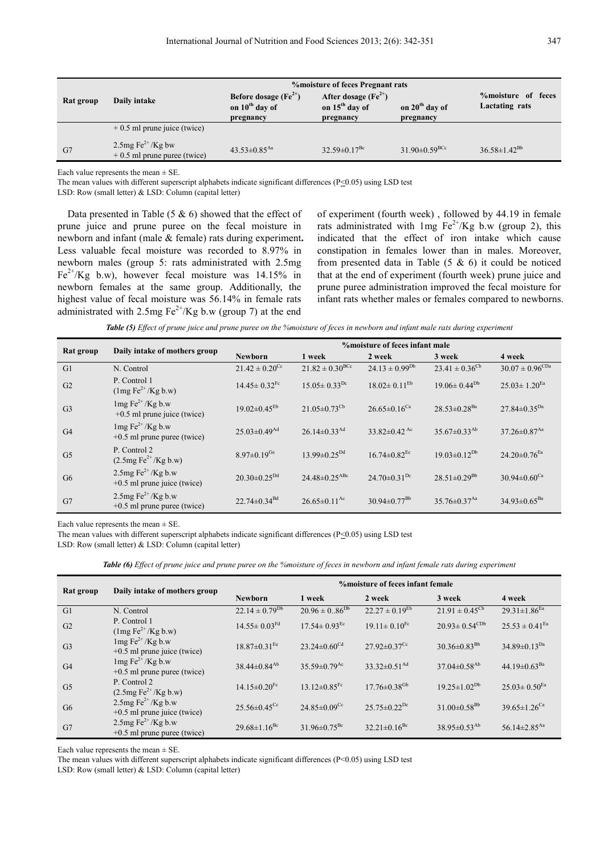|           | <b>%</b> moisture of feces Pregnant rats               |                                                                                                                   |                                |                               |                                             |  |  |
|-----------|--------------------------------------------------------|-------------------------------------------------------------------------------------------------------------------|--------------------------------|-------------------------------|---------------------------------------------|--|--|
| Rat group | Daily intake                                           | Before dosage $(Fe^{2+})$<br>After dosage $(Fe^{2+})$<br>on 15 <sup>th</sup> day of<br>on 10 <sup>th</sup> day of |                                | on $20th$ day of              | <b>%moisture</b> of feces<br>Lactating rats |  |  |
|           |                                                        | pregnancy                                                                                                         | pregnancy                      | pregnancy                     |                                             |  |  |
|           | $+0.5$ ml prune juice (twice)                          |                                                                                                                   |                                |                               |                                             |  |  |
| G7        | 2.5mg $Fe^{2+}/Kg$ bw<br>$+0.5$ ml prune puree (twice) | $43.53 \pm 0.85$ <sup>Aa</sup>                                                                                    | $32.59 \pm 0.17$ <sup>Bc</sup> | $31.90\pm0.59$ <sup>BCc</sup> | $36.58 \pm 1.42^{Bb}$                       |  |  |

Each value represents the mean  $\pm$  SE.

The mean values with different superscript alphabets indicate significant differences (P<0.05) using LSD test

LSD: Row (small letter) & LSD: Column (capital letter)

Data presented in Table  $(5 \& 6)$  showed that the effect of prune juice and prune puree on the fecal moisture in newborn and infant (male & female) rats during experiment**.**  Less valuable fecal moisture was recorded to 8.97% in newborn males (group 5: rats administrated with 2.5mg  $Fe<sup>2+</sup>/Kg$  b.w), however fecal moisture was 14.15% in newborn females at the same group. Additionally, the highest value of fecal moisture was 56.14% in female rats administrated with 2.5mg  $Fe^{2+}/Kg$  b.w (group 7) at the end

of experiment (fourth week) , followed by 44.19 in female rats administrated with 1mg  $Fe^{2+}/Kg$  b.w (group 2), this indicated that the effect of iron intake which cause constipation in females lower than in males. Moreover, from presented data in Table  $(5 \& 6)$  it could be noticed that at the end of experiment (fourth week) prune juice and prune puree administration improved the fecal moisture for infant rats whether males or females compared to newborns.

*Table (5) Effect of prune juice and prune puree on the %moisture of feces in newborn and infant male rats during experiment* 

|                |                                                                       | %moisture of feces infant male |                                 |                                |                                |                                |  |
|----------------|-----------------------------------------------------------------------|--------------------------------|---------------------------------|--------------------------------|--------------------------------|--------------------------------|--|
| Rat group      | Daily intake of mothers group                                         | <b>Newborn</b>                 | 1 week                          | 2 week                         | 3 week                         | 4 week                         |  |
| G1             | N. Control                                                            | $21.42 \pm 0.20$ <sup>Cc</sup> | $21.82 \pm 0.30^{BCc}$          | $24.13 \pm 0.99^{Db}$          | $23.41 \pm 0.36^{\rm cb}$      | $30.07 \pm 0.96^{\text{CDa}}$  |  |
| G <sub>2</sub> | P. Control 1<br>$(1mg Fe2+/Kg b.w)$                                   | $14.45 \pm 0.32$ <sup>Fc</sup> | $15.05 \pm 0.33$ <sup>Dc</sup>  | $18.02 \pm 0.11^{\text{Eb}}$   | $19.06 \pm 0.44^{Db}$          | $25.03 \pm 1.20$ <sup>Ea</sup> |  |
| G <sub>3</sub> | $1mg Fe^{2+}/Kg b.w$<br>$+0.5$ ml prune juice (twice)                 | $19.02 \pm 0.45$ <sup>Eb</sup> | $21.05 \pm 0.73^{\text{Cb}}$    | $26.65 \pm 0.16$ <sup>Ca</sup> | $28.53 \pm 0.28$ <sup>Ba</sup> | $27.84 \pm 0.35^{Da}$          |  |
| G <sub>4</sub> | $1mg Fe^{2+}/Kg b.w$<br>$+0.5$ ml prune puree (twice)                 | $25.03 \pm 0.49$ <sup>Ad</sup> | $26.14\pm0.33$ <sup>Ad</sup>    | 33.82 $\pm$ 0.42 <sup>Ac</sup> | $35.67\pm0.33^{Ab}$            | $37.26 \pm 0.87$ <sup>Aa</sup> |  |
| G <sub>5</sub> | P. Control 2<br>$(2.5mg Fe2+/Kg b.w)$                                 | $8.97 \pm 0.19$ <sup>Ge</sup>  | $13.99 \pm 0.25^{Dd}$           | $16.74 \pm 0.82$ <sup>Ec</sup> | $19.03 \pm 0.12^{Db}$          | $24.20 \pm 0.76$ <sup>Ea</sup> |  |
| G <sub>6</sub> | 2.5mg $\text{Fe}^{2+}/\text{Kg}$ b.w<br>$+0.5$ ml prune juice (twice) | $20.30 \pm 0.25^{Dd}$          | $24.48 \pm 0.25$ <sup>ABc</sup> | $24.70\pm0.31^{Dc}$            | $28.51 \pm 0.29$ <sup>Bb</sup> | 30.94 $\pm$ 0.60 <sup>Ca</sup> |  |
| G7             | 2.5mg $Fe^{2+}/Kg$ b.w<br>$+0.5$ ml prune puree (twice)               | $22.74 \pm 0.34$ <sup>Bd</sup> | $26.65 \pm 0.11$ <sup>Ac</sup>  | $30.94 \pm 0.77$ <sup>Bb</sup> | $35.76 \pm 0.37$ <sup>Aa</sup> | $34.93 \pm 0.65^{Ba}$          |  |

Each value represents the mean  $\pm$  SE.

The mean values with different superscript alphabets indicate significant differences ( $P \le 0.05$ ) using LSD test LSD: Row (small letter) & LSD: Column (capital letter)

*Table (6) Effect of prune juice and prune puree on the %moisture of feces in newborn and infant female rats during experiment*

| Rat group      | Daily intake of mothers group                                              |                                | <b>% moisture of feces infant female</b> |                                |                                |                                |  |  |
|----------------|----------------------------------------------------------------------------|--------------------------------|------------------------------------------|--------------------------------|--------------------------------|--------------------------------|--|--|
|                |                                                                            | <b>Newborn</b>                 | 1 week                                   | 2 week                         | 3 week                         | 4 week                         |  |  |
| G1             | N. Control                                                                 | $22.14 \pm 0.79^{Db}$          | $20.96 \pm 0.86^{Db}$                    | $22.27 \pm 0.19$ <sup>Eb</sup> | $21.91 \pm 0.45^{\text{Cb}}$   | $29.31 \pm 1.86$ <sup>Ea</sup> |  |  |
| G2             | P. Control 1<br>$(1mg Fe^{2+}/Kg b.w)$                                     | $14.55 \pm 0.03$ <sup>Fd</sup> | $17.54 \pm 0.93$ <sup>Ec</sup>           | $19.11 \pm 0.10$ <sup>Fc</sup> | $20.93 \pm 0.54^{\text{CDb}}$  | $25.53 \pm 0.41$ <sup>Ea</sup> |  |  |
| G <sub>3</sub> | $1mg Fe^{2+}/Kg b.w$<br>$+0.5$ ml prune juice (twice)                      | $18.87\pm0.31$ <sup>Ee</sup>   | $23.24 \pm 0.60^{cd}$                    | $27.92 \pm 0.37$ <sup>Cc</sup> | $30.36\pm0.83^{Bb}$            | 34.89 $\pm$ 0.13 <sup>Da</sup> |  |  |
| G <sub>4</sub> | $1mg Fe^{2+}/Kg b.w$<br>$+0.5$ ml prune puree (twice)                      | $38.44\pm0.84^{Ab}$            | $35.59 \pm 0.79$ <sup>Ac</sup>           | 33.32 $\pm$ 0.51 <sup>Ad</sup> | $37.04\pm0.58^{Ab}$            | 44.19 $\pm$ 0.63 <sup>Ba</sup> |  |  |
| G <sub>5</sub> | P. Control 2<br>$(2.5mg \text{Fe}^{2+}/\text{Kg} \text{b} \cdot \text{w})$ | $14.15\pm0.20$ <sup>Fc</sup>   | 13.12 $\pm$ 0.85 <sup>Fc</sup>           | $17.76 \pm 0.38$ <sup>Gb</sup> | $19.25 \pm 1.02^{Db}$          | $25.03 \pm 0.50$ <sup>Ea</sup> |  |  |
| G <sub>6</sub> | 2.5mg $Fe^{2+}/Kg$ b.w<br>$+0.5$ ml prune juice (twice)                    | $25.56 \pm 0.45$ <sup>Cc</sup> | $24.85 \pm 0.09$ <sup>Cc</sup>           | $25.75 \pm 0.22$ <sup>Dc</sup> | $31.00\pm0.58^{Bb}$            | 39.65 $\pm$ 1.26 <sup>Ca</sup> |  |  |
| G7             | 2.5mg $Fe^{2+}/Kg$ b.w<br>$+0.5$ ml prune puree (twice)                    | $29.68 \pm 1.16$ <sup>Bc</sup> | $31.96 \pm 0.75$ <sup>Bc</sup>           | $32.21 \pm 0.16$ <sup>Bc</sup> | $38.95 \pm 0.53$ <sup>Ab</sup> | 56.14 $\pm$ 2.85 <sup>Aa</sup> |  |  |

Each value represents the mean  $\pm$  SE.

The mean values with different superscript alphabets indicate significant differences (P<0.05) using LSD test

LSD: Row (small letter) & LSD: Column (capital letter)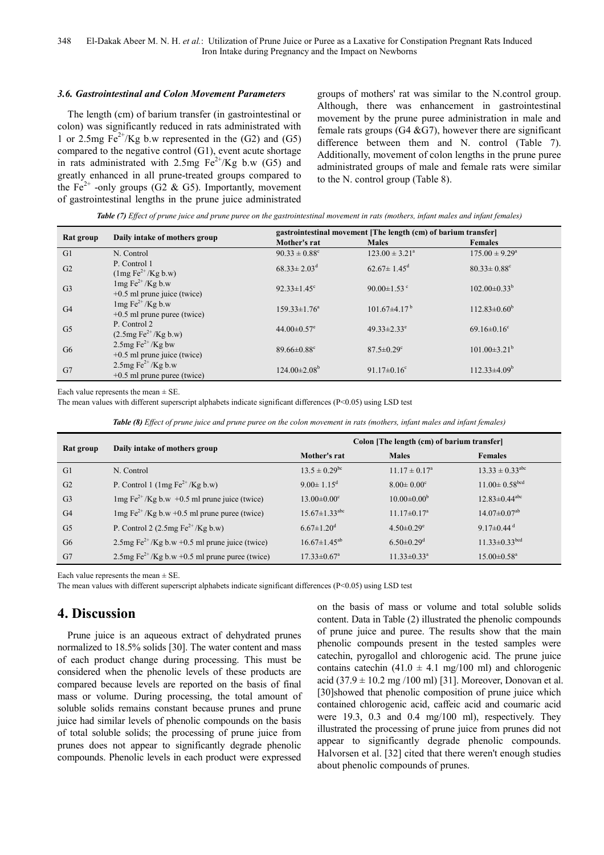### *3.6. Gastrointestinal and Colon Movement Parameters*

The length (cm) of barium transfer (in gastrointestinal or colon) was significantly reduced in rats administrated with 1 or 2.5mg  $Fe^{2+}/Kg$  b.w represented in the (G2) and (G5) compared to the negative control (G1), event acute shortage in rats administrated with 2.5mg  $Fe^{2+}/Kg$  b.w (G5) and greatly enhanced in all prune-treated groups compared to the Fe<sup>2+</sup> -only groups (G2 & G5). Importantly, movement of gastrointestinal lengths in the prune juice administrated groups of mothers' rat was similar to the N.control group. Although, there was enhancement in gastrointestinal movement by the prune puree administration in male and female rats groups  $(G4 \& G7)$ , however there are significant difference between them and N. control (Table 7). Additionally, movement of colon lengths in the prune puree administrated groups of male and female rats were similar to the N. control group (Table 8).

| Table (7) Effect of prune juice and prune puree on the gastrointestinal movement in rats (mothers, infant males and infant females) |  |  |  |
|-------------------------------------------------------------------------------------------------------------------------------------|--|--|--|
|                                                                                                                                     |  |  |  |

|                |                                                                                | gastrointestinal movement [The length (cm) of barium transfer] |                               |                               |  |  |
|----------------|--------------------------------------------------------------------------------|----------------------------------------------------------------|-------------------------------|-------------------------------|--|--|
| Rat group      | Daily intake of mothers group                                                  | Mother's rat                                                   | <b>Males</b>                  | <b>Females</b>                |  |  |
| G1             | N. Control                                                                     | $90.33 \pm 0.88$ <sup>c</sup>                                  | $123.00 \pm 3.21^{\circ}$     | $175.00 \pm 9.29^{\circ}$     |  |  |
| G2             | P. Control 1<br>$(\text{Im} \, \mathrm{Fe}^{2+}/\mathrm{Kg} \, \mathrm{b}$ .w) | $68.33 \pm 2.03$ <sup>d</sup>                                  | $62.67 \pm 1.45$ <sup>d</sup> | $80.33 \pm 0.88$ <sup>c</sup> |  |  |
| G <sub>3</sub> | $1mg Fe^{2+}/Kg b.w$<br>$+0.5$ ml prune juice (twice)                          | 92.33 $\pm$ 1.45 <sup>c</sup>                                  | 90.00 $\pm$ 1.53 $\degree$    | $102.00\pm0.33^{b}$           |  |  |
| G <sub>4</sub> | $1mg Fe^{2+}/Kg b.w$<br>$+0.5$ ml prune puree (twice)                          | $159.33 \pm 1.76^a$                                            | $101.67\pm4.17^{b}$           | $112.83 \pm 0.60^b$           |  |  |
| G <sub>5</sub> | P. Control 2<br>$(2.5mg \text{Fe}^{2+}/\text{Kg} \text{b} \cdot \text{w})$     | 44.00 $\pm$ 0.57 $^{\circ}$                                    | $49.33 \pm 2.33$ <sup>e</sup> | $69.16 \pm 0.16$ <sup>c</sup> |  |  |
| G <sub>6</sub> | 2.5mg $\text{Fe}^{2+}/\text{Kg}$ bw<br>$+0.5$ ml prune juice (twice)           | $89.66 \pm 0.88$ <sup>c</sup>                                  | $87.5 \pm 0.29$ <sup>c</sup>  | $101.00\pm3.21^{\rm b}$       |  |  |
| G7             | 2.5mg $Fe^{2+}/Kg$ b.w<br>$+0.5$ ml prune puree (twice)                        | $124.00 \pm 2.08^{\rm b}$                                      | 91.17 $\pm$ 0.16 <sup>c</sup> | $112.33\pm4.09^b$             |  |  |

Each value represents the mean  $\pm$  SE.

The mean values with different superscript alphabets indicate significant differences (P<0.05) using LSD test

*Table (8) Effect of prune juice and prune puree on the colon movement in rats (mothers, infant males and infant females)*

|                |                                                                     | Colon [The length (cm) of barium transfer] |                               |                                 |  |
|----------------|---------------------------------------------------------------------|--------------------------------------------|-------------------------------|---------------------------------|--|
| Rat group      | Daily intake of mothers group                                       | Mother's rat                               | <b>Males</b>                  | <b>Females</b>                  |  |
| G1             | N. Control                                                          | $13.5 \pm 0.29$ <sup>bc</sup>              | $11.17 \pm 0.17^{\circ}$      | $13.33 \pm 0.33^{\text{abc}}$   |  |
| G <sub>2</sub> | P. Control 1 (1mg $Fe^{2+}/Kg$ b.w)                                 | $9.00 \pm 1.15^d$                          | $8.00 \pm 0.00$ <sup>c</sup>  | $11.00 \pm 0.58$ bed            |  |
| G <sub>3</sub> | $\log \mathrm{Fe}^{2+}/\mathrm{Kg}$ b.w +0.5 ml prune juice (twice) | $13.00 \pm 0.00$ <sup>c</sup>              | $10.00 \pm 0.00^{\rm b}$      | $12.83 \pm 0.44$ <sup>abc</sup> |  |
| G <sub>4</sub> | $\log Fe^{2+}/Kg$ b.w +0.5 ml prune puree (twice)                   | $15.67 \pm 1.33$ <sup>abc</sup>            | $11.17 \pm 0.17$ <sup>a</sup> | $14.07 \pm 0.07$ <sup>ab</sup>  |  |
| G <sub>5</sub> | P. Control 2 $(2.5mg Fe2+/Kg b.w)$                                  | $6.67 \pm 1.20$ <sup>d</sup>               | $4.50 \pm 0.29$ <sup>e</sup>  | 9.17 $\pm$ 0.44 <sup>d</sup>    |  |
| G <sub>6</sub> | 2.5mg $Fe^{2+}/Kg$ b.w +0.5 ml prune juice (twice)                  | $16.67 \pm 1.45^{ab}$                      | $6.50 \pm 0.29$ <sup>d</sup>  | $11.33 \pm 0.33$ bcd            |  |
| G7             | 2.5mg Fe <sup>2+</sup> /Kg b.w +0.5 ml prune puree (twice)          | $17.33 \pm 0.67$ <sup>a</sup>              | $11.33 \pm 0.33$ <sup>a</sup> | $15.00 \pm 0.58$ <sup>a</sup>   |  |

Each value represents the mean  $\pm$  SE.

The mean values with different superscript alphabets indicate significant differences (P<0.05) using LSD test

# **4. Discussion**

Prune juice is an aqueous extract of dehydrated prunes normalized to 18.5% solids [30]. The water content and mass of each product change during processing. This must be considered when the phenolic levels of these products are compared because levels are reported on the basis of final mass or volume. During processing, the total amount of soluble solids remains constant because prunes and prune juice had similar levels of phenolic compounds on the basis of total soluble solids; the processing of prune juice from prunes does not appear to significantly degrade phenolic compounds. Phenolic levels in each product were expressed on the basis of mass or volume and total soluble solids content. Data in Table (2) illustrated the phenolic compounds of prune juice and puree. The results show that the main phenolic compounds present in the tested samples were catechin, pyrogallol and chlorogenic acid. The prune juice contains catechin (41.0  $\pm$  4.1 mg/100 ml) and chlorogenic acid  $(37.9 \pm 10.2 \text{ mg } / 100 \text{ ml})$  [31]. Moreover, Donovan et al. [30]showed that phenolic composition of prune juice which contained chlorogenic acid, caffeic acid and coumaric acid were 19.3, 0.3 and 0.4 mg/100 ml), respectively. They illustrated the processing of prune juice from prunes did not appear to significantly degrade phenolic compounds. Halvorsen et al. [32] cited that there weren't enough studies about phenolic compounds of prunes.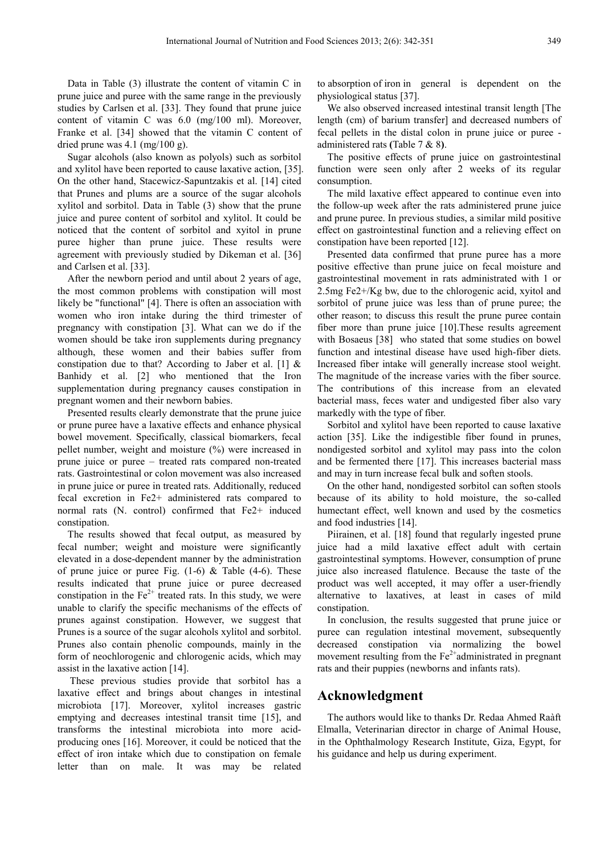Data in Table (3) illustrate the content of vitamin C in prune juice and puree with the same range in the previously studies by Carlsen et al. [33]. They found that prune juice content of vitamin C was 6.0 (mg/100 ml). Moreover, Franke et al. [34] showed that the vitamin C content of dried prune was 4.1 (mg/100 g).

Sugar alcohols (also known as polyols) such as sorbitol and xylitol have been reported to cause laxative action, [35]. On the other hand, Stacewicz-Sapuntzakis et al. [14] cited that Prunes and plums are a source of the sugar alcohols xylitol and sorbitol. Data in Table (3) show that the prune juice and puree content of sorbitol and xylitol. It could be noticed that the content of sorbitol and xyitol in prune puree higher than prune juice. These results were agreement with previously studied by Dikeman et al. [36] and Carlsen et al. [33].

After the newborn period and until about 2 years of age, the most common problems with constipation will most likely be "functional" [4]. There is often an association with women who iron intake during the third trimester of pregnancy with constipation [3]. What can we do if the women should be take iron supplements during pregnancy although, these women and their babies suffer from constipation due to that? According to Jaber et al. [1] & Banhidy et al. [2] who mentioned that the Iron supplementation during pregnancy causes constipation in pregnant women and their newborn babies.

Presented results clearly demonstrate that the prune juice or prune puree have a laxative effects and enhance physical bowel movement. Specifically, classical biomarkers, fecal pellet number, weight and moisture (%) were increased in prune juice or puree – treated rats compared non-treated rats. Gastrointestinal or colon movement was also increased in prune juice or puree in treated rats. Additionally, reduced fecal excretion in Fe2+ administered rats compared to normal rats (N. control) confirmed that Fe2+ induced constipation.

The results showed that fecal output, as measured by fecal number; weight and moisture were significantly elevated in a dose-dependent manner by the administration of prune juice or puree Fig.  $(1-6)$  & Table  $(4-6)$ . These results indicated that prune juice or puree decreased constipation in the  $Fe<sup>2+</sup>$  treated rats. In this study, we were unable to clarify the specific mechanisms of the effects of prunes against constipation. However, we suggest that Prunes is a source of the sugar alcohols xylitol and sorbitol. Prunes also contain phenolic compounds, mainly in the form of neochlorogenic and chlorogenic acids, which may assist in the laxative action [14].

 These previous studies provide that sorbitol has a laxative effect and brings about changes in intestinal microbiota [17]. Moreover, xylitol increases gastric emptying and decreases intestinal transit time [15], and transforms the intestinal microbiota into more acidproducing ones [16]. Moreover, it could be noticed that the effect of iron intake which due to constipation on female letter than on male. It was may be related

to absorption of iron in general is dependent on the physiological status [37].

We also observed increased intestinal transit length [The length (cm) of barium transfer] and decreased numbers of fecal pellets in the distal colon in prune juice or puree administered rats **(**Table 7 & 8**)**.

The positive effects of prune juice on gastrointestinal function were seen only after 2 weeks of its regular consumption.

The mild laxative effect appeared to continue even into the follow-up week after the rats administered prune juice and prune puree. In previous studies, a similar mild positive effect on gastrointestinal function and a relieving effect on constipation have been reported [12].

Presented data confirmed that prune puree has a more positive effective than prune juice on fecal moisture and gastrointestinal movement in rats administrated with 1 or 2.5mg Fe2+/Kg bw, due to the chlorogenic acid, xyitol and sorbitol of prune juice was less than of prune puree; the other reason; to discuss this result the prune puree contain fiber more than prune juice [10].These results agreement with Bosaeus [38] who stated that some studies on bowel function and intestinal disease have used high-fiber diets. Increased fiber intake will generally increase stool weight. The magnitude of the increase varies with the fiber source. The contributions of this increase from an elevated bacterial mass, feces water and undigested fiber also vary markedly with the type of fiber.

Sorbitol and xylitol have been reported to cause laxative action [35]. Like the indigestible fiber found in prunes, nondigested sorbitol and xylitol may pass into the colon and be fermented there [17]. This increases bacterial mass and may in turn increase fecal bulk and soften stools.

On the other hand, nondigested sorbitol can soften stools because of its ability to hold moisture, the so-called humectant effect, well known and used by the cosmetics and food industries [14].

Piirainen, et al. [18] found that regularly ingested prune juice had a mild laxative effect adult with certain gastrointestinal symptoms. However, consumption of prune juice also increased flatulence. Because the taste of the product was well accepted, it may offer a user-friendly alternative to laxatives, at least in cases of mild constipation.

In conclusion, the results suggested that prune juice or puree can regulation intestinal movement, subsequently decreased constipation via normalizing the bowel movement resulting from the  $Fe<sup>2+</sup>$ administrated in pregnant rats and their puppies (newborns and infants rats).

# **Acknowledgment**

The authors would like to thanks Dr. Redaa Ahmed Raàft Elmalla, Veterinarian director in charge of Animal House, in the Ophthalmology Research Institute, Giza, Egypt, for his guidance and help us during experiment.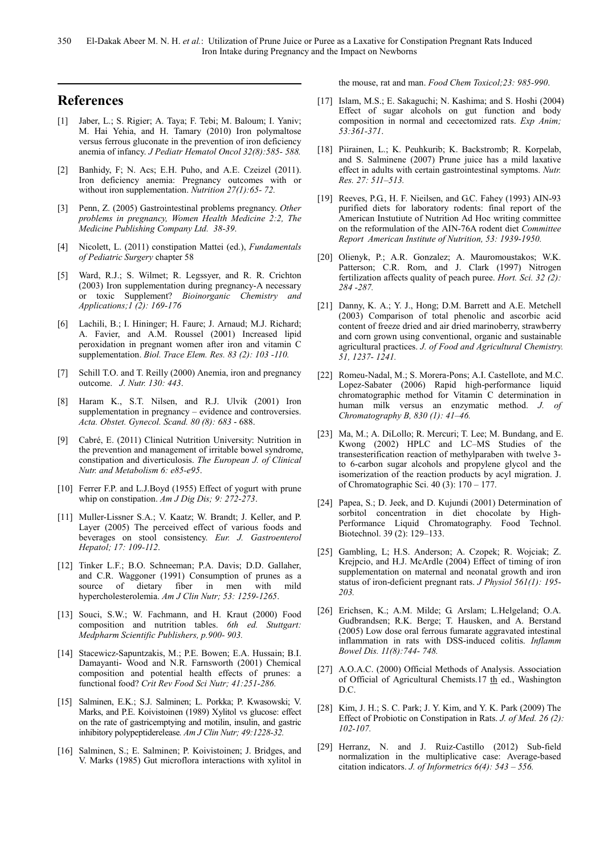# **References**

- [1] Jaber, L.; S. Rigier; A. Taya; F. Tebi; M. Baloum; I. Yaniv; M. Hai Yehia, and H. Tamary (2010) Iron polymaltose versus ferrous gluconate in the prevention of iron deficiency anemia of infancy. *J Pediatr Hematol Oncol 32(8):585- 588.*
- [2] Banhidy, F; N. Acs; E.H. Puho, and A.E. Czeizel (2011). Iron deficiency anemia: Pregnancy outcomes with or without iron supplementation. *Nutrition 27(1):65- 72.*
- [3] Penn, Z. (2005) Gastrointestinal problems pregnancy. *Other problems in pregnancy, Women Health Medicine 2:2, The Medicine Publishing Company Ltd. 38-39*.
- [4] Nicolett, L. (2011) constipation Mattei (ed.), *Fundamentals of Pediatric Surgery* chapter 58
- [5] Ward, R.J.; S. Wilmet; R. Legssyer, and R. R. Crichton (2003) Iron supplementation during pregnancy-A necessary or toxic Supplement? *Bioinorganic Chemistry and Applications;1 (2): 169-176*
- [6] Lachili, B.; I. Hininger; H. Faure; J. Arnaud; M.J. Richard; A. Favier, and A.M. Roussel (2001) Increased lipid peroxidation in pregnant women after iron and vitamin C supplementation. *Biol. Trace Elem. Res. 83 (2): 103 -110.*
- [7] Schill T.O. and T. Reilly (2000) Anemia, iron and pregnancy outcome. *J. Nutr. 130: 443*.
- [8] Haram K., S.T. Nilsen, and R.J. Ulvik (2001) Iron supplementation in pregnancy – evidence and controversies. *Acta. Obstet. Gynecol. Scand. 80 (8): 683* - 688.
- [9] Cabré, E. (2011) Clinical Nutrition University: Nutrition in the prevention and management of irritable bowel syndrome, constipation and diverticulosis. *The European J. of Clinical Nutr. and Metabolism 6: e85-e95*.
- [10] Ferrer F.P. and L.J.Boyd (1955) Effect of yogurt with prune whip on constipation. *Am J Dig Dis; 9: 272-273*.
- [11] Muller-Lissner S.A.; V. Kaatz; W. Brandt; J. Keller, and P. Layer (2005) The perceived effect of various foods and beverages on stool consistency. *Eur. J. Gastroenterol Hepatol; 17: 109-112*.
- [12] Tinker L.F.; B.O. Schneeman; P.A. Davis; D.D. Gallaher, and C.R. Waggoner (1991) Consumption of prunes as a source of dietary fiber in men with mild hypercholesterolemia. *Am J Clin Nutr; 53: 1259-1265*.
- [13] Souci, S.W.; W. Fachmann, and H. Kraut (2000) Food composition and nutrition tables. *6th ed. Stuttgart: Medpharm Scientific Publishers, p.900- 903.*
- [14] Stacewicz-Sapuntzakis, M.; P.E. Bowen; E.A. Hussain; B.I. Damayanti- Wood and N.R. Farnsworth (2001) Chemical composition and potential health effects of prunes: a functional food? *Crit Rev Food Sci Nutr; 41:251-286.*
- [15] Salminen, E.K.; S.J. Salminen; L. Porkka; P. Kwasowski; V. Marks, and P.E. Koivistoinen (1989) Xylitol vs glucose: effect on the rate of gastricemptying and motilin, insulin, and gastric inhibitory polypeptiderelease*. Am J Clin Nutr; 49:1228-32.*
- [16] Salminen, S.; E. Salminen; P. Koivistoinen; J. Bridges, and V. Marks (1985) Gut microflora interactions with xylitol in

the mouse, rat and man. *Food Chem Toxicol;23: 985-990*.

- [17] Islam, M.S.; E. Sakaguchi; N. Kashima; and S. Hoshi (2004) Effect of sugar alcohols on gut function and body composition in normal and cecectomized rats. *Exp Anim; 53:361-371*.
- [18] Piirainen, L.; K. Peuhkurib; K. Backstromb; R. Korpelab, and S. Salminene (2007) Prune juice has a mild laxative effect in adults with certain gastrointestinal symptoms. *Nutr. Res. 27: 511–513.*
- [19] Reeves, P.G., H. F. Nieilsen, and G.C. Fahey (1993) AIN-93 purified diets for laboratory rodents: final report of the American Instutiute of Nutrition Ad Hoc writing committee on the reformulation of the AIN-76A rodent diet *Committee Report American Institute of Nutrition, 53: 1939-1950.*
- [20] Olienyk, P.; A.R. Gonzalez; A. Mauromoustakos; W.K. Patterson; C.R. Rom, and J. Clark (1997) Nitrogen fertilization affects quality of peach puree. *Hort. Sci. 32 (2): 284 -287.*
- [21] Danny, K. A.; Y. J., Hong; D.M. Barrett and A.E. Metchell (2003) Comparison of total phenolic and ascorbic acid content of freeze dried and air dried marinoberry, strawberry and corn grown using conventional, organic and sustainable agricultural practices. *J. of Food and Agricultural Chemistry. 51, 1237- 1241.*
- [22] Romeu-Nadal, M.; S. Morera-Pons; A.I. Castellote, and M.C. Lopez-Sabater (2006) Rapid high-performance liquid chromatographic method for Vitamin C determination in human milk versus an enzymatic method. *J. of Chromatography B, 830 (1): 41–46.*
- [23] Ma, M.; A. DiLollo; R. Mercuri; T. Lee; M. Bundang, and E. Kwong (2002) HPLC and LC–MS Studies of the transesterification reaction of methylparaben with twelve 3 to 6-carbon sugar alcohols and propylene glycol and the isomerization of the reaction products by acyl migration. J. of Chromatographic Sci. 40 (3): 170 – 177.
- [24] Papea, S.; D. Jeek, and D. Kujundi (2001) Determination of sorbitol concentration in diet chocolate by High-Performance Liquid Chromatography. Food Technol. Biotechnol. 39 (2): 129–133.
- [25] Gambling, L; H.S. Anderson; A. Czopek; R. Wojciak; Z. Krejpcio, and H.J. McArdle (2004) Effect of timing of iron supplementation on maternal and neonatal growth and iron status of iron-deficient pregnant rats. *J Physiol 561(1): 195- 203.*
- [26] Erichsen, K.; A.M. Milde; G. Arslam; L.Helgeland; O.A. Gudbrandsen; R.K. Berge; T. Hausken, and A. Berstand (2005) Low dose oral ferrous fumarate aggravated intestinal inflammation in rats with DSS-induced colitis. *Inflamm Bowel Dis. 11(8):744- 748.*
- [27] A.O.A.C. (2000) Official Methods of Analysis. Association of Official of Agricultural Chemists.17 th ed., Washington D.C.
- [28] Kim, J. H.; S. C. Park; J. Y. Kim, and Y. K. Park (2009) The Effect of Probiotic on Constipation in Rats. *J. of Med. 26 (2): 102-107.*
- [29] Herranz, N. and J. Ruiz-Castillo (2012) Sub-field normalization in the multiplicative case: Average-based citation indicators. *J. of Informetrics 6(4): 543 – 556.*